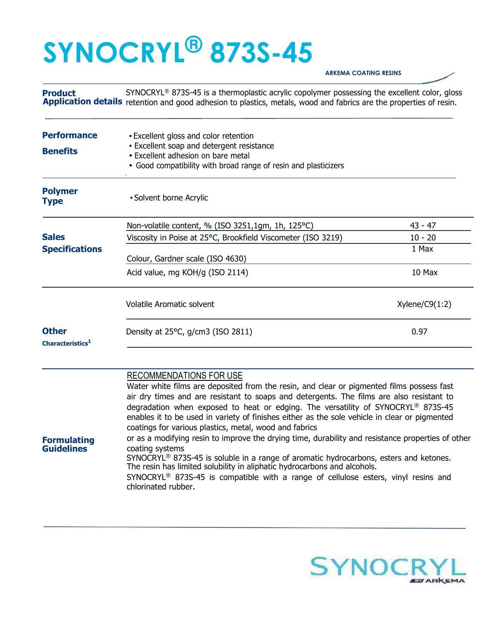## **SYNOCRYL® 873S-45**

**Guidelines** 

## **ARKEMA COATING RESINS**

**Product**  Application details retention and good adhesion to plastics, metals, wood and fabrics are the properties of resin. SYNOCRYL<sup>®</sup> 873S-45 is a thermoplastic acrylic copolymer possessing the excellent color, gloss

| <b>Performance</b><br><b>Benefits</b>        | • Excellent gloss and color retention<br>• Excellent soap and detergent resistance<br>• Excellent adhesion on bare metal<br>• Good compatibility with broad range of resin and plasticizers                             |                |
|----------------------------------------------|-------------------------------------------------------------------------------------------------------------------------------------------------------------------------------------------------------------------------|----------------|
| <b>Polymer</b><br><b>Type</b>                | • Solvent borne Acrylic                                                                                                                                                                                                 |                |
|                                              | Non-volatile content, % (ISO 3251,1gm, 1h, 125°C)                                                                                                                                                                       | $43 - 47$      |
| <b>Sales</b>                                 | Viscosity in Poise at 25°C, Brookfield Viscometer (ISO 3219)                                                                                                                                                            | $10 - 20$      |
| <b>Specifications</b>                        | Colour, Gardner scale (ISO 4630)                                                                                                                                                                                        | 1 Max          |
|                                              | Acid value, mg KOH/g (ISO 2114)                                                                                                                                                                                         | 10 Max         |
|                                              | <b>Volatile Aromatic solvent</b>                                                                                                                                                                                        | Xylene/C9(1:2) |
| <b>Other</b><br>Characteristics <sup>1</sup> | Density at 25°C, g/cm3 (ISO 2811)                                                                                                                                                                                       | 0.97           |
|                                              | <b>RECOMMENDATIONS FOR USE</b><br>Water white films are deposited from the resin, and clear or pigmented films possess fast<br>air dry times and are resistant to soans and detergents. The films are also resistant to |                |

nes and are resistant to soaps and detergents. The films are also resist degradation when exposed to heat or edging. The versatility of SYNOCRYL® 873S-45 enables it to be used in variety of finishes either as the sole vehicle in clear or pigmented coatings for various plastics, metal, wood and fabrics **Formulating**  or as a modifying resin to improve the drying time, durability and resistance properties of other coating systems

> SYNOCRYL® 873S-45 is soluble in a range of aromatic hydrocarbons, esters and ketones. The resin has limited solubility in aliphatic hydrocarbons and alcohols. SYNOCRYL® 873S-45 is compatible with a range of cellulose esters, vinyl resins and

chlorinated rubber.